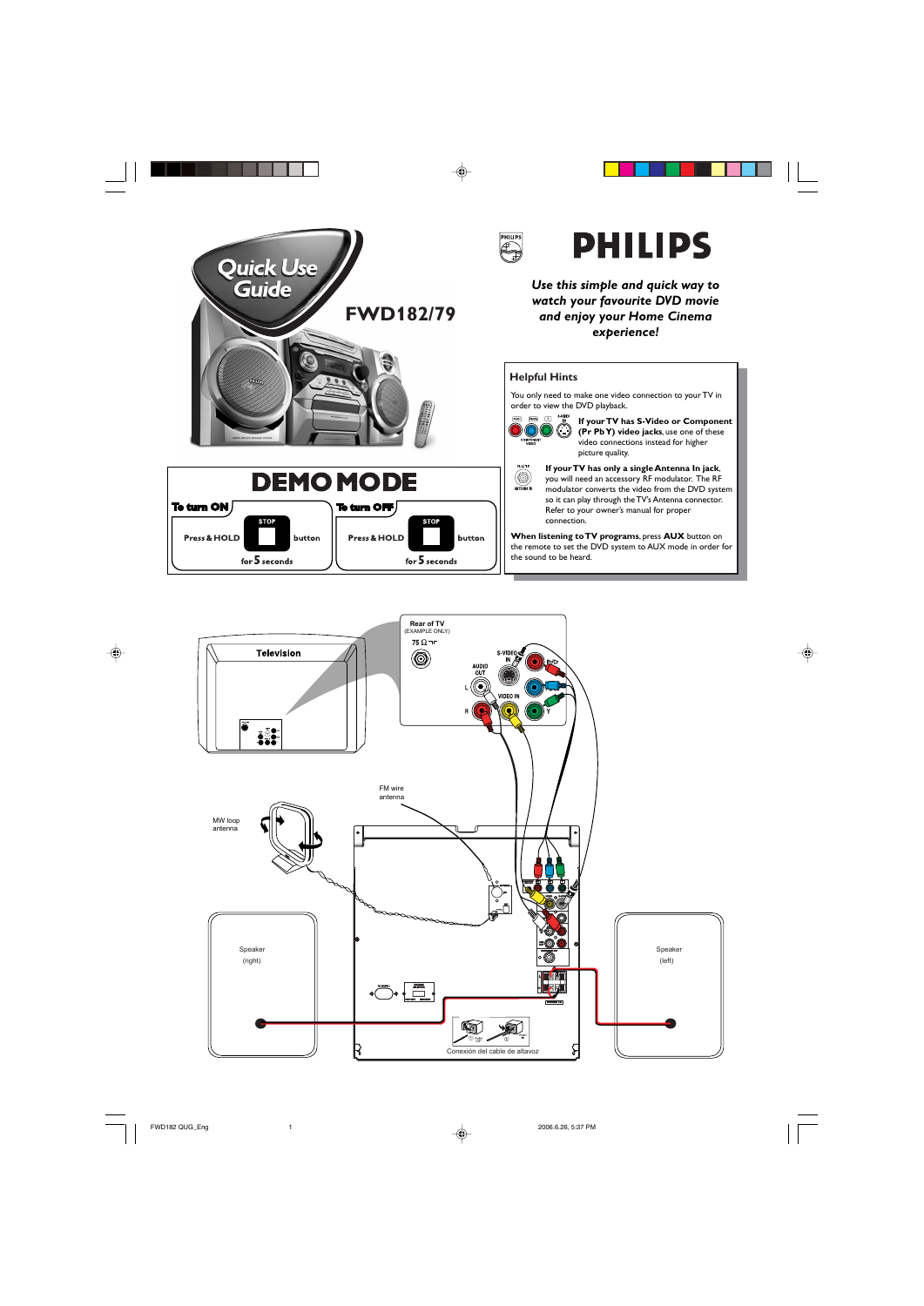